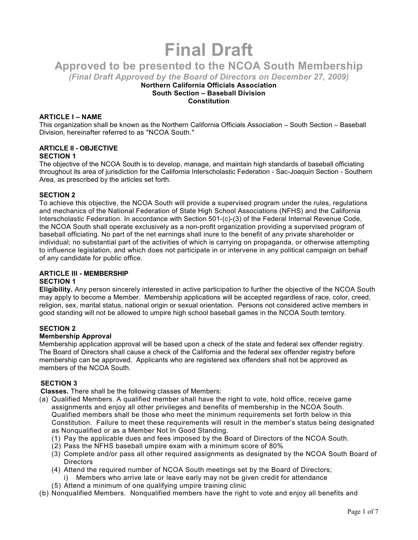# **Final Draft**

**Approved to be presented to the NCOA South Membership** 

*(Final Draft Approved by the Board of Directors on December 27, 2009)* 

## **Northern California Officials Association South Section – Baseball Division Constitution**

# **ARTICLE I – NAME**

This organization shall be known as the Northern California Officials Association – South Section – Baseball Division, hereinafter referred to as "NCOA South."

# **ARTICLE II - OBJECTIVE**

# **SECTION 1**

The objective of the NCOA South is to develop, manage, and maintain high standards of baseball officiating throughout its area of jurisdiction for the California Interscholastic Federation - Sac-Joaquin Section - Southern Area, as prescribed by the articles set forth.

# **SECTION 2**

To achieve this objective, the NCOA South will provide a supervised program under the rules, regulations and mechanics of the National Federation of State High School Associations (NFHS) and the California Interscholastic Federation. In accordance with Section 501-(c)-(3) of the Federal Internal Revenue Code, the NCOA South shall operate exclusively as a non-profit organization providing a supervised program of baseball officiating. No part of the net earnings shall inure to the benefit of any private shareholder or individual; no substantial part of the activities of which is carrying on propaganda, or otherwise attempting to influence legislation, and which does not participate in or intervene in any political campaign on behalf of any candidate for public office.

#### **ARTICLE III - MEMBERSHIP SECTION 1**

**Eligibility.** Any person sincerely interested in active participation to further the objective of the NCOA South may apply to become a Member. Membership applications will be accepted regardless of race, color, creed, religion, sex, marital status, national origin or sexual orientation. Persons not considered active members in good standing will not be allowed to umpire high school baseball games in the NCOA South territory.

# **SECTION 2**

# **Membership Approval**

Membership application approval will be based upon a check of the state and federal sex offender registry. The Board of Directors shall cause a check of the California and the federal sex offender registry before membership can be approved. Applicants who are registered sex offenders shall not be approved as members of the NCOA South.

# **SECTION 3**

**Classes.** There shall be the following classes of Members:

- (a) Qualified Members. A qualified member shall have the right to vote, hold office, receive game assignments and enjoy all other privileges and benefits of membership in the NCOA South. Qualified members shall be those who meet the minimum requirements set forth below in this Constitution. Failure to meet these requirements will result in the member's status being designated as Nonqualified or as a Member Not In Good Standing.
	- (1) Pay the applicable dues and fees imposed by the Board of Directors of the NCOA South.
	- (2) Pass the NFHS baseball umpire exam with a minimum score of 80%
	- (3) Complete and/or pass all other required assignments as designated by the NCOA South Board of **Directors**
	- (4) Attend the required number of NCOA South meetings set by the Board of Directors;
		- i) Members who arrive late or leave early may not be given credit for attendance
	- (5) Attend a minimum of one qualifying umpire training clinic
- (b) Nonqualified Members. Nonqualified members have the right to vote and enjoy all benefits and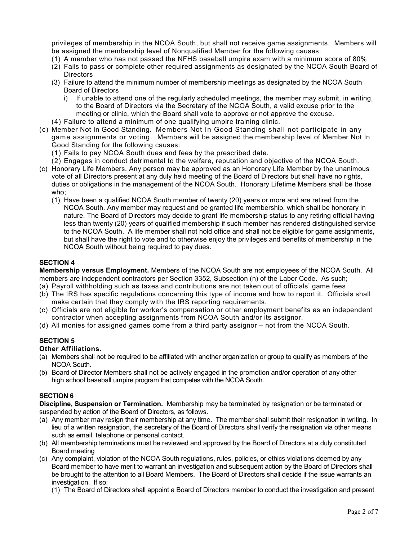privileges of membership in the NCOA South, but shall not receive game assignments. Members will be assigned the membership level of Nonqualified Member for the following causes:

- (1) A member who has not passed the NFHS baseball umpire exam with a minimum score of 80%
- (2) Fails to pass or complete other required assignments as designated by the NCOA South Board of **Directors**
- (3) Failure to attend the minimum number of membership meetings as designated by the NCOA South Board of Directors
	- i) If unable to attend one of the regularly scheduled meetings, the member may submit, in writing, to the Board of Directors via the Secretary of the NCOA South, a valid excuse prior to the meeting or clinic, which the Board shall vote to approve or not approve the excuse.
- (4) Failure to attend a minimum of one qualifying umpire training clinic.
- (c) Member Not In Good Standing. Members Not In Good Standing shall not participate in any game assignments or voting. Members will be assigned the membership level of Member Not In Good Standing for the following causes:
	- (1) Fails to pay NCOA South dues and fees by the prescribed date.
	- (2) Engages in conduct detrimental to the welfare, reputation and objective of the NCOA South.
- (c) Honorary Life Members. Any person may be approved as an Honorary Life Member by the unanimous vote of all Directors present at any duly held meeting of the Board of Directors but shall have no rights, duties or obligations in the management of the NCOA South. Honorary Lifetime Members shall be those who;
	- (1) Have been a qualified NCOA South member of twenty (20) years or more and are retired from the NCOA South. Any member may request and be granted life membership, which shall be honorary in nature. The Board of Directors may decide to grant life membership status to any retiring official having less than twenty (20) years of qualified membership if such member has rendered distinguished service to the NCOA South. A life member shall not hold office and shall not be eligible for game assignments, but shall have the right to vote and to otherwise enjoy the privileges and benefits of membership in the NCOA South without being required to pay dues.

# **SECTION 4**

**Membership versus Employment.** Members of the NCOA South are not employees of the NCOA South. All members are independent contractors per Section 3352, Subsection (n) of the Labor Code. As such;

- (a) Payroll withholding such as taxes and contributions are not taken out of officials' game fees
- (b) The IRS has specific regulations concerning this type of income and how to report it. Officials shall make certain that they comply with the IRS reporting requirements.
- (c) Officials are not eligible for worker's compensation or other employment benefits as an independent contractor when accepting assignments from NCOA South and/or its assignor.
- (d) All monies for assigned games come from a third party assignor not from the NCOA South.

# **SECTION 5**

# **Other Affiliations.**

- (a) Members shall not be required to be affiliated with another organization or group to qualify as members of the NCOA South.
- (b) Board of Director Members shall not be actively engaged in the promotion and/or operation of any other high school baseball umpire program that competes with the NCOA South.

## **SECTION 6**

**Discipline, Suspension or Termination.** Membership may be terminated by resignation or be terminated or suspended by action of the Board of Directors, as follows.

- (a) Any member may resign their membership at any time. The member shall submit their resignation in writing. In lieu of a written resignation, the secretary of the Board of Directors shall verify the resignation via other means such as email, telephone or personal contact.
- (b) All membership terminations must be reviewed and approved by the Board of Directors at a duly constituted Board meeting
- (c) Any complaint, violation of the NCOA South regulations, rules, policies, or ethics violations deemed by any Board member to have merit to warrant an investigation and subsequent action by the Board of Directors shall be brought to the attention to all Board Members. The Board of Directors shall decide if the issue warrants an investigation. If so;
	- (1) The Board of Directors shall appoint a Board of Directors member to conduct the investigation and present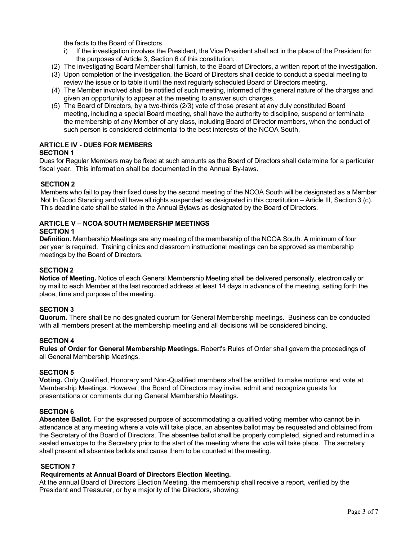the facts to the Board of Directors.

- i) If the investigation involves the President, the Vice President shall act in the place of the President for the purposes of Article 3, Section 6 of this constitution.
- (2) The investigating Board Member shall furnish, to the Board of Directors, a written report of the investigation.
- (3) Upon completion of the investigation, the Board of Directors shall decide to conduct a special meeting to review the issue or to table it until the next regularly scheduled Board of Directors meeting.
- (4) The Member involved shall be notified of such meeting, informed of the general nature of the charges and given an opportunity to appear at the meeting to answer such charges.
- (5) The Board of Directors, by a two-thirds (2/3) vote of those present at any duly constituted Board meeting, including a special Board meeting, shall have the authority to discipline, suspend or terminate the membership of any Member of any class, including Board of Director members, when the conduct of such person is considered detrimental to the best interests of the NCOA South.

## **ARTICLE IV - DUES FOR MEMBERS SECTION 1**

Dues for Regular Members may be fixed at such amounts as the Board of Directors shall determine for a particular fiscal year. This information shall be documented in the Annual By-laws.

## **SECTION 2**

Members who fail to pay their fixed dues by the second meeting of the NCOA South will be designated as a Member Not In Good Standing and will have all rights suspended as designated in this constitution – Article III, Section 3 (c). This deadline date shall be stated in the Annual Bylaws as designated by the Board of Directors.

# **ARTICLE V – NCOA SOUTH MEMBERSHIP MEETINGS**

#### **SECTION 1**

**Definition.** Membership Meetings are any meeting of the membership of the NCOA South. A minimum of four per year is required. Training clinics and classroom instructional meetings can be approved as membership meetings by the Board of Directors.

## **SECTION 2**

**Notice of Meeting.** Notice of each General Membership Meeting shall be delivered personally, electronically or by mail to each Member at the last recorded address at least 14 days in advance of the meeting, setting forth the place, time and purpose of the meeting.

## **SECTION 3**

**Quorum.** There shall be no designated quorum for General Membership meetings. Business can be conducted with all members present at the membership meeting and all decisions will be considered binding.

## **SECTION 4**

**Rules of Order for General Membership Meetings.** Robert's Rules of Order shall govern the proceedings of all General Membership Meetings.

## **SECTION 5**

**Voting.** Only Qualified, Honorary and Non-Qualified members shall be entitled to make motions and vote at Membership Meetings. However, the Board of Directors may invite, admit and recognize guests for presentations or comments during General Membership Meetings.

#### **SECTION 6**

**Absentee Ballot.** For the expressed purpose of accommodating a qualified voting member who cannot be in attendance at any meeting where a vote will take place, an absentee ballot may be requested and obtained from the Secretary of the Board of Directors. The absentee ballot shall be properly completed, signed and returned in a sealed envelope to the Secretary prior to the start of the meeting where the vote will take place. The secretary shall present all absentee ballots and cause them to be counted at the meeting.

## **SECTION 7**

## **Requirements at Annual Board of Directors Election Meeting.**

At the annual Board of Directors Election Meeting, the membership shall receive a report, verified by the President and Treasurer, or by a majority of the Directors, showing: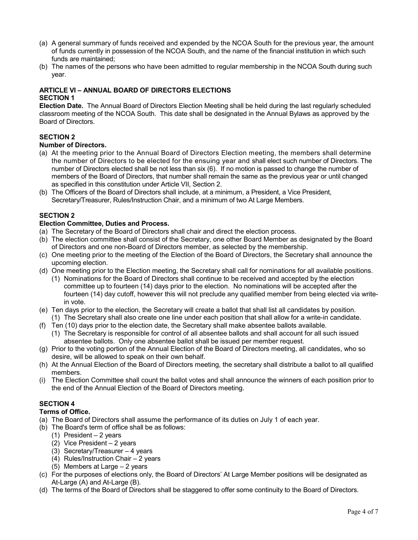- (a) A general summary of funds received and expended by the NCOA South for the previous year, the amount of funds currently in possession of the NCOA South, and the name of the financial institution in which such funds are maintained;
- (b) The names of the persons who have been admitted to regular membership in the NCOA South during such year.

# **ARTICLE VI – ANNUAL BOARD OF DIRECTORS ELECTIONS SECTION 1**

**Election Date.** The Annual Board of Directors Election Meeting shall be held during the last regularly scheduled classroom meeting of the NCOA South. This date shall be designated in the Annual Bylaws as approved by the Board of Directors.

# **SECTION 2**

## **Number of Directors.**

- (a) At the meeting prior to the Annual Board of Directors Election meeting, the members shall determine the number of Directors to be elected for the ensuing year and shall elect such number of Directors. The number of Directors elected shall be not less than six (6). If no motion is passed to change the number of members of the Board of Directors, that number shall remain the same as the previous year or until changed as specified in this constitution under Article VII, Section 2.
- (b) The Officers of the Board of Directors shall include, at a minimum, a President, a Vice President, Secretary/Treasurer, Rules/Instruction Chair, and a minimum of two At Large Members.

# **SECTION 2**

## **Election Committee, Duties and Process.**

- (a) The Secretary of the Board of Directors shall chair and direct the election process.
- (b) The election committee shall consist of the Secretary, one other Board Member as designated by the Board of Directors and one non-Board of Directors member, as selected by the membership.
- (c) One meeting prior to the meeting of the Election of the Board of Directors, the Secretary shall announce the upcoming election.
- (d) One meeting prior to the Election meeting, the Secretary shall call for nominations for all available positions.
	- (1) Nominations for the Board of Directors shall continue to be received and accepted by the election committee up to fourteen (14) days prior to the election. No nominations will be accepted after the fourteen (14) day cutoff, however this will not preclude any qualified member from being elected via writein vote.
- (e) Ten days prior to the election, the Secretary will create a ballot that shall list all candidates by position.
- (1) The Secretary shall also create one line under each position that shall allow for a write-in candidate. (f) Ten (10) days prior to the election date, the Secretary shall make absentee ballots available.
- (1) The Secretary is responsible for control of all absentee ballots and shall account for all such issued absentee ballots. Only one absentee ballot shall be issued per member request.
- (g) Prior to the voting portion of the Annual Election of the Board of Directors meeting, all candidates, who so desire, will be allowed to speak on their own behalf.
- (h) At the Annual Election of the Board of Directors meeting, the secretary shall distribute a ballot to all qualified members.
- (i) The Election Committee shall count the ballot votes and shall announce the winners of each position prior to the end of the Annual Election of the Board of Directors meeting.

# **SECTION 4**

# **Terms of Office.**

- (a) The Board of Directors shall assume the performance of its duties on July 1 of each year.
- (b) The Board's term of office shall be as follows:
	- (1) President  $-2$  years
	- (2) Vice President 2 years
	- (3) Secretary/Treasurer 4 years
	- (4) Rules/Instruction Chair 2 years
	- (5) Members at Large 2 years
- (c) For the purposes of elections only, the Board of Directors' At Large Member positions will be designated as At-Large (A) and At-Large (B).
- (d) The terms of the Board of Directors shall be staggered to offer some continuity to the Board of Directors.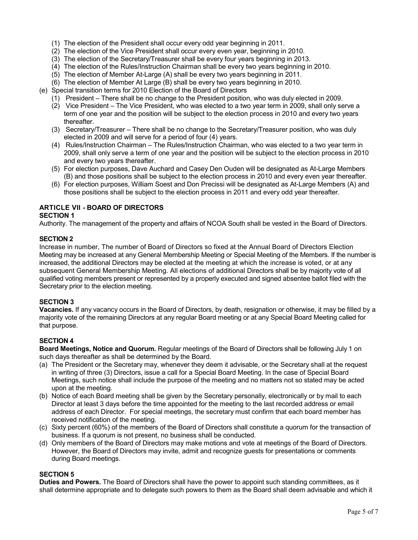- (1) The election of the President shall occur every odd year beginning in 2011.
- (2) The election of the Vice President shall occur every even year, beginning in 2010.
- (3) The election of the Secretary/Treasurer shall be every four years beginning in 2013.
- (4) The election of the Rules/Instruction Chairman shall be every two years beginning in 2010.
- (5) The election of Member At-Large (A) shall be every two years beginning in 2011.
- (6) The election of Member At Large (B) shall be every two years beginning in 2010.
- (e) Special transition terms for 2010 Election of the Board of Directors
	- (1) President There shall be no change to the President position, who was duly elected in 2009.
	- (2) Vice President The Vice President, who was elected to a two year term in 2009, shall only serve a term of one year and the position will be subject to the election process in 2010 and every two years **thereafter**
	- (3) Secretary/Treasurer There shall be no change to the Secretary/Treasurer position, who was duly elected in 2009 and will serve for a period of four (4) years.
	- (4) Rules/Instruction Chairman The Rules/Instruction Chairman, who was elected to a two year term in 2009, shall only serve a term of one year and the position will be subject to the election process in 2010 and every two years thereafter.
	- (5) For election purposes, Dave Auchard and Casey Den Ouden will be designated as At-Large Members (B) and those positions shall be subject to the election process in 2010 and every even year thereafter.
	- (6) For election purposes, William Soest and Don Precissi will be designated as At-Large Members (A) and those positions shall be subject to the election process in 2011 and every odd year thereafter.

# **ARTICLE VII - BOARD OF DIRECTORS**

## **SECTION 1**

Authority. The management of the property and affairs of NCOA South shall be vested in the Board of Directors.

## **SECTION 2**

Increase in number, The number of Board of Directors so fixed at the Annual Board of Directors Election Meeting may be increased at any General Membership Meeting or Special Meeting of the Members. If the number is increased, the additional Directors may be elected at the meeting at which the increase is voted, or at any subsequent General Membership Meeting. All elections of additional Directors shall be by majority vote of all qualified voting members present or represented by a properly executed and signed absentee ballot filed with the Secretary prior to the election meeting.

## **SECTION 3**

**Vacancies.** If any vacancy occurs in the Board of Directors, by death, resignation or otherwise, it may be filled by a majority vote of the remaining Directors at any regular Board meeting or at any Special Board Meeting called for that purpose.

# **SECTION 4**

**Board Meetings, Notice and Quorum.** Regular meetings of the Board of Directors shall be following July 1 on such days thereafter as shall be determined by the Board.

- (a) The President or the Secretary may, whenever they deem it advisable, or the Secretary shall at the request in writing of three (3) Directors, issue a call for a Special Board Meeting. In the case of Special Board Meetings, such notice shall include the purpose of the meeting and no matters not so stated may be acted upon at the meeting.
- (b) Notice of each Board meeting shall be given by the Secretary personally, electronically or by mail to each Director at least 3 days before the time appointed for the meeting to the last recorded address or email address of each Director. For special meetings, the secretary must confirm that each board member has received notification of the meeting.
- (c) Sixty percent (60%) of the members of the Board of Directors shall constitute a quorum for the transaction of business. If a quorum is not present, no business shall be conducted.
- (d) Only members of the Board of Directors may make motions and vote at meetings of the Board of Directors. However, the Board of Directors may invite, admit and recognize guests for presentations or comments during Board meetings.

# **SECTION 5**

**Duties and Powers.** The Board of Directors shall have the power to appoint such standing committees, as it shall determine appropriate and to delegate such powers to them as the Board shall deem advisable and which it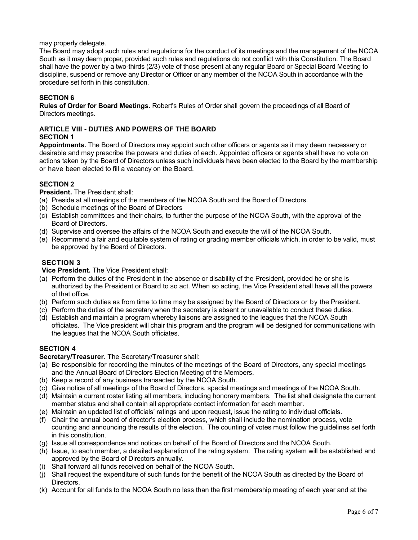## may properly delegate.

The Board may adopt such rules and regulations for the conduct of its meetings and the management of the NCOA South as it may deem proper, provided such rules and regulations do not conflict with this Constitution. The Board shall have the power by a two-thirds (2/3) vote of those present at any regular Board or Special Board Meeting to discipline, suspend or remove any Director or Officer or any member of the NCOA South in accordance with the procedure set forth in this constitution.

# **SECTION 6**

**Rules of Order for Board Meetings.** Robert's Rules of Order shall govern the proceedings of all Board of Directors meetings.

#### **ARTICLE VIII - DUTIES AND POWERS OF THE BOARD SECTION 1**

**Appointments.** The Board of Directors may appoint such other officers or agents as it may deem necessary or desirable and may prescribe the powers and duties of each. Appointed officers or agents shall have no vote on actions taken by the Board of Directors unless such individuals have been elected to the Board by the membership or have been elected to fill a vacancy on the Board.

# **SECTION 2**

**President.** The President shall:

- (a) Preside at all meetings of the members of the NCOA South and the Board of Directors.
- (b) Schedule meetings of the Board of Directors
- (c) Establish committees and their chairs, to further the purpose of the NCOA South, with the approval of the Board of Directors.
- (d) Supervise and oversee the affairs of the NCOA South and execute the will of the NCOA South.
- (e) Recommend a fair and equitable system of rating or grading member officials which, in order to be valid, must be approved by the Board of Directors.

# **SECTION 3**

**Vice President.** The Vice President shall:

- (a) Perform the duties of the President in the absence or disability of the President, provided he or she is authorized by the President or Board to so act. When so acting, the Vice President shall have all the powers of that office.
- (b) Perform such duties as from time to time may be assigned by the Board of Directors or by the President.
- (c) Perform the duties of the secretary when the secretary is absent or unavailable to conduct these duties.
- (d) Establish and maintain a program whereby liaisons are assigned to the leagues that the NCOA South officiates. The Vice president will chair this program and the program will be designed for communications with the leagues that the NCOA South officiates.

# **SECTION 4**

**Secretary/Treasurer**. The Secretary/Treasurer shall:

- (a) Be responsible for recording the minutes of the meetings of the Board of Directors, any special meetings and the Annual Board of Directors Election Meeting of the Members.
- (b) Keep a record of any business transacted by the NCOA South.
- (c) Give notice of all meetings of the Board of Directors, special meetings and meetings of the NCOA South.
- (d) Maintain a current roster listing all members, including honorary members. The list shall designate the current member status and shall contain all appropriate contact information for each member.
- (e) Maintain an updated list of officials' ratings and upon request, issue the rating to individual officials.
- (f) Chair the annual board of director's election process, which shall include the nomination process, vote counting and announcing the results of the election. The counting of votes must follow the guidelines set forth in this constitution.
- (g) Issue all correspondence and notices on behalf of the Board of Directors and the NCOA South.
- (h) Issue, to each member, a detailed explanation of the rating system. The rating system will be established and approved by the Board of Directors annually.
- (i) Shall forward all funds received on behalf of the NCOA South.
- (j) Shall request the expenditure of such funds for the benefit of the NCOA South as directed by the Board of Directors.
- (k) Account for all funds to the NCOA South no less than the first membership meeting of each year and at the